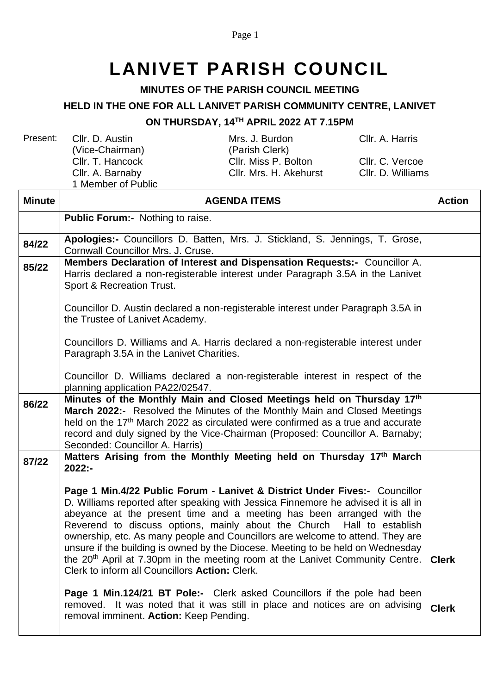Page 1

# **LANIVET PARISH COUNCIL**

#### **MINUTES OF THE PARISH COUNCIL MEETING**

### **HELD IN THE ONE FOR ALL LANIVET PARISH COMMUNITY CENTRE, LANIVET**

#### **ON THURSDAY, 14 TH APRIL 2022 AT 7.15PM**

Present: Cllr. D. Austin (Vice-Chairman) 1 Member of Public

Mrs. J. Burdon (Parish Clerk) Cllr. T. Hancock Cllr. Miss P. Bolton Cllr. C. Vercoe Cllr. A. Barnaby Cllr. Mrs. H. Akehurst Cllr. D. Williams

Cllr. A. Harris

| <b>Minute</b> | <b>AGENDA ITEMS</b>                                                                                                                                                                                                                                                                                                                                                                                                                                                                                                                                                                                                                     |              |  |
|---------------|-----------------------------------------------------------------------------------------------------------------------------------------------------------------------------------------------------------------------------------------------------------------------------------------------------------------------------------------------------------------------------------------------------------------------------------------------------------------------------------------------------------------------------------------------------------------------------------------------------------------------------------------|--------------|--|
|               | <b>Public Forum:-</b> Nothing to raise.                                                                                                                                                                                                                                                                                                                                                                                                                                                                                                                                                                                                 |              |  |
| 84/22         | Apologies:- Councillors D. Batten, Mrs. J. Stickland, S. Jennings, T. Grose,<br>Cornwall Councillor Mrs. J. Cruse.                                                                                                                                                                                                                                                                                                                                                                                                                                                                                                                      |              |  |
| 85/22         | Members Declaration of Interest and Dispensation Requests:- Councillor A.<br>Harris declared a non-registerable interest under Paragraph 3.5A in the Lanivet<br>Sport & Recreation Trust.                                                                                                                                                                                                                                                                                                                                                                                                                                               |              |  |
|               | Councillor D. Austin declared a non-registerable interest under Paragraph 3.5A in<br>the Trustee of Lanivet Academy.                                                                                                                                                                                                                                                                                                                                                                                                                                                                                                                    |              |  |
|               | Councillors D. Williams and A. Harris declared a non-registerable interest under<br>Paragraph 3.5A in the Lanivet Charities.                                                                                                                                                                                                                                                                                                                                                                                                                                                                                                            |              |  |
|               | Councillor D. Williams declared a non-registerable interest in respect of the<br>planning application PA22/02547.                                                                                                                                                                                                                                                                                                                                                                                                                                                                                                                       |              |  |
| 86/22         | Minutes of the Monthly Main and Closed Meetings held on Thursday 17th<br>March 2022:- Resolved the Minutes of the Monthly Main and Closed Meetings<br>held on the 17 <sup>th</sup> March 2022 as circulated were confirmed as a true and accurate<br>record and duly signed by the Vice-Chairman (Proposed: Councillor A. Barnaby;<br>Seconded: Councillor A. Harris)                                                                                                                                                                                                                                                                   |              |  |
| 87/22         | Matters Arising from the Monthly Meeting held on Thursday 17th March<br>2022:-                                                                                                                                                                                                                                                                                                                                                                                                                                                                                                                                                          |              |  |
|               | Page 1 Min.4/22 Public Forum - Lanivet & District Under Fives:- Councillor<br>D. Williams reported after speaking with Jessica Finnemore he advised it is all in<br>abeyance at the present time and a meeting has been arranged with the<br>Reverend to discuss options, mainly about the Church Hall to establish<br>ownership, etc. As many people and Councillors are welcome to attend. They are<br>unsure if the building is owned by the Diocese. Meeting to be held on Wednesday<br>the 20 <sup>th</sup> April at 7.30pm in the meeting room at the Lanivet Community Centre.<br>Clerk to inform all Councillors Action: Clerk. | <b>Clerk</b> |  |
|               | <b>Page 1 Min.124/21 BT Pole:-</b> Clerk asked Councillors if the pole had been<br>removed. It was noted that it was still in place and notices are on advising<br>removal imminent. Action: Keep Pending.                                                                                                                                                                                                                                                                                                                                                                                                                              | <b>Clerk</b> |  |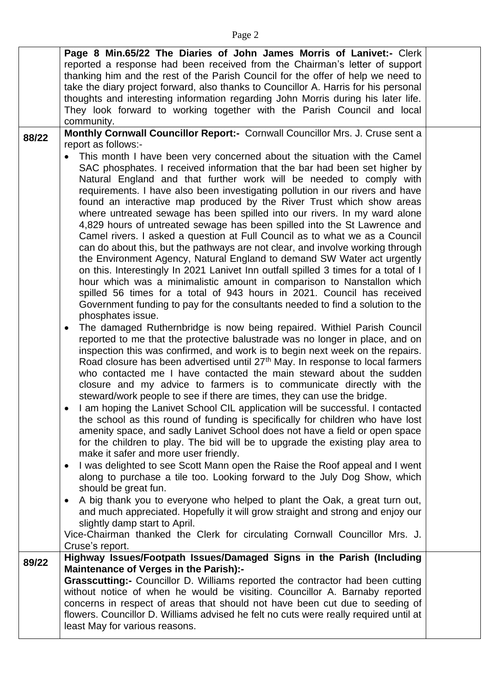|       | Page 8 Min.65/22 The Diaries of John James Morris of Lanivet:- Clerk<br>reported a response had been received from the Chairman's letter of support<br>thanking him and the rest of the Parish Council for the offer of help we need to<br>take the diary project forward, also thanks to Councillor A. Harris for his personal<br>thoughts and interesting information regarding John Morris during his later life.<br>They look forward to working together with the Parish Council and local<br>community.                                                                                                                                                                                                                                                                                                                                                                                                                                                                                                                                                                                                                                                                                                                                                                                                                                                                                                                                                                                                                                                                                                                                                                                                                                                                                                                                                                                                                                                                                                                                                                  |  |
|-------|--------------------------------------------------------------------------------------------------------------------------------------------------------------------------------------------------------------------------------------------------------------------------------------------------------------------------------------------------------------------------------------------------------------------------------------------------------------------------------------------------------------------------------------------------------------------------------------------------------------------------------------------------------------------------------------------------------------------------------------------------------------------------------------------------------------------------------------------------------------------------------------------------------------------------------------------------------------------------------------------------------------------------------------------------------------------------------------------------------------------------------------------------------------------------------------------------------------------------------------------------------------------------------------------------------------------------------------------------------------------------------------------------------------------------------------------------------------------------------------------------------------------------------------------------------------------------------------------------------------------------------------------------------------------------------------------------------------------------------------------------------------------------------------------------------------------------------------------------------------------------------------------------------------------------------------------------------------------------------------------------------------------------------------------------------------------------------|--|
| 88/22 | Monthly Cornwall Councillor Report:- Cornwall Councillor Mrs. J. Cruse sent a<br>report as follows:-<br>This month I have been very concerned about the situation with the Camel<br>SAC phosphates. I received information that the bar had been set higher by<br>Natural England and that further work will be needed to comply with<br>requirements. I have also been investigating pollution in our rivers and have<br>found an interactive map produced by the River Trust which show areas<br>where untreated sewage has been spilled into our rivers. In my ward alone<br>4,829 hours of untreated sewage has been spilled into the St Lawrence and<br>Camel rivers. I asked a question at Full Council as to what we as a Council<br>can do about this, but the pathways are not clear, and involve working through<br>the Environment Agency, Natural England to demand SW Water act urgently<br>on this. Interestingly In 2021 Lanivet Inn outfall spilled 3 times for a total of I<br>hour which was a minimalistic amount in comparison to Nanstallon which<br>spilled 56 times for a total of 943 hours in 2021. Council has received<br>Government funding to pay for the consultants needed to find a solution to the<br>phosphates issue.<br>The damaged Ruthernbridge is now being repaired. Withiel Parish Council<br>reported to me that the protective balustrade was no longer in place, and on<br>inspection this was confirmed, and work is to begin next week on the repairs.<br>Road closure has been advertised until 27 <sup>th</sup> May. In response to local farmers<br>who contacted me I have contacted the main steward about the sudden<br>closure and my advice to farmers is to communicate directly with the<br>steward/work people to see if there are times, they can use the bridge.<br>I am hoping the Lanivet School CIL application will be successful. I contacted<br>the school as this round of funding is specifically for children who have lost<br>amenity space, and sadly Lanivet School does not have a field or open space |  |
|       | for the children to play. The bid will be to upgrade the existing play area to<br>make it safer and more user friendly.<br>I was delighted to see Scott Mann open the Raise the Roof appeal and I went<br>along to purchase a tile too. Looking forward to the July Dog Show, which<br>should be great fun.<br>A big thank you to everyone who helped to plant the Oak, a great turn out,<br>and much appreciated. Hopefully it will grow straight and strong and enjoy our<br>slightly damp start to April.<br>Vice-Chairman thanked the Clerk for circulating Cornwall Councillor Mrs. J.<br>Cruse's report.                                                                                                                                                                                                                                                                                                                                                                                                                                                                                                                                                                                                                                                                                                                                                                                                                                                                                                                                                                                                                                                                                                                                                                                                                                                                                                                                                                                                                                                                 |  |
| 89/22 | Highway Issues/Footpath Issues/Damaged Signs in the Parish (Including<br><b>Maintenance of Verges in the Parish):-</b><br>Grasscutting:- Councillor D. Williams reported the contractor had been cutting<br>without notice of when he would be visiting. Councillor A. Barnaby reported<br>concerns in respect of areas that should not have been cut due to seeding of<br>flowers. Councillor D. Williams advised he felt no cuts were really required until at<br>least May for various reasons.                                                                                                                                                                                                                                                                                                                                                                                                                                                                                                                                                                                                                                                                                                                                                                                                                                                                                                                                                                                                                                                                                                                                                                                                                                                                                                                                                                                                                                                                                                                                                                             |  |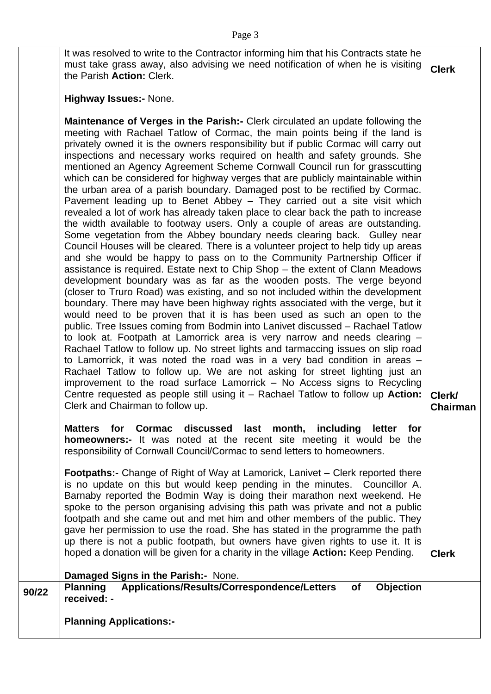It was resolved to write to the Contractor informing him that his Contracts state he must take grass away, also advising we need notification of when he is visiting the Parish **Action:** Clerk. **Clerk**

#### **Highway Issues:-** None.

**Maintenance of Verges in the Parish:-** Clerk circulated an update following the meeting with Rachael Tatlow of Cormac, the main points being if the land is privately owned it is the owners responsibility but if public Cormac will carry out inspections and necessary works required on health and safety grounds. She mentioned an Agency Agreement Scheme Cornwall Council run for grasscutting which can be considered for highway verges that are publicly maintainable within the urban area of a parish boundary. Damaged post to be rectified by Cormac. Pavement leading up to Benet Abbey – They carried out a site visit which revealed a lot of work has already taken place to clear back the path to increase the width available to footway users. Only a couple of areas are outstanding. Some vegetation from the Abbey boundary needs clearing back. Gulley near Council Houses will be cleared. There is a volunteer project to help tidy up areas and she would be happy to pass on to the Community Partnership Officer if assistance is required. Estate next to Chip Shop – the extent of Clann Meadows development boundary was as far as the wooden posts. The verge beyond (closer to Truro Road) was existing, and so not included within the development boundary. There may have been highway rights associated with the verge, but it would need to be proven that it is has been used as such an open to the public. Tree Issues coming from Bodmin into Lanivet discussed – Rachael Tatlow to look at. Footpath at Lamorrick area is very narrow and needs clearing – Rachael Tatlow to follow up. No street lights and tarmaccing issues on slip road to Lamorrick, it was noted the road was in a very bad condition in areas – Rachael Tatlow to follow up. We are not asking for street lighting just an improvement to the road surface Lamorrick – No Access signs to Recycling Centre requested as people still using it – Rachael Tatlow to follow up **Action:** Clerk and Chairman to follow up. **Clerk/** 

**Matters for Cormac discussed last month, including letter for homeowners:-** It was noted at the recent site meeting it would be the responsibility of Cornwall Council/Cormac to send letters to homeowners.

**Footpaths:-** Change of Right of Way at Lamorick, Lanivet – Clerk reported there is no update on this but would keep pending in the minutes. Councillor A. Barnaby reported the Bodmin Way is doing their marathon next weekend. He spoke to the person organising advising this path was private and not a public footpath and she came out and met him and other members of the public. They gave her permission to use the road. She has stated in the programme the path up there is not a public footpath, but owners have given rights to use it. It is hoped a donation will be given for a charity in the village **Action:** Keep Pending.

## **Damaged Signs in the Parish:-** None. **90/22 Planning Applications/Results/Correspondence/Letters of Objection received: - Planning Applications:-**

**Chairman**

**Clerk**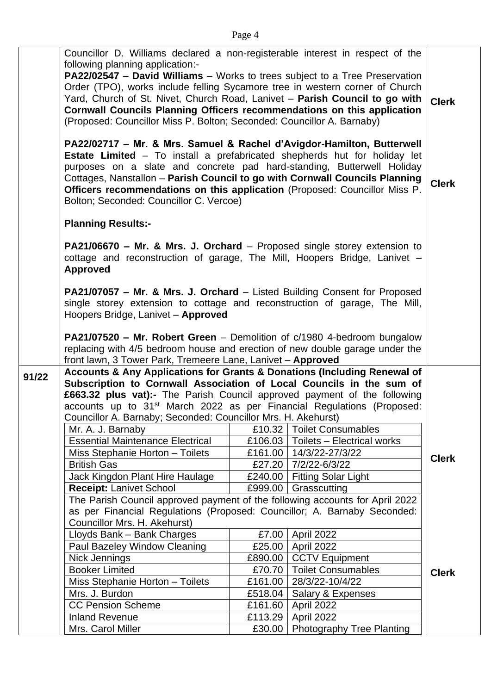|       | Councillor D. Williams declared a non-registerable interest in respect of the<br>following planning application:-<br>PA22/02547 - David Williams - Works to trees subject to a Tree Preservation<br>Order (TPO), works include felling Sycamore tree in western corner of Church<br>Yard, Church of St. Nivet, Church Road, Lanivet - Parish Council to go with<br>Cornwall Councils Planning Officers recommendations on this application<br>(Proposed: Councillor Miss P. Bolton; Seconded: Councillor A. Barnaby) |         |                                      | <b>Clerk</b> |
|-------|----------------------------------------------------------------------------------------------------------------------------------------------------------------------------------------------------------------------------------------------------------------------------------------------------------------------------------------------------------------------------------------------------------------------------------------------------------------------------------------------------------------------|---------|--------------------------------------|--------------|
|       | PA22/02717 - Mr. & Mrs. Samuel & Rachel d'Avigdor-Hamilton, Butterwell<br><b>Estate Limited</b> – To install a prefabricated shepherds hut for holiday let<br>purposes on a slate and concrete pad hard-standing, Butterwell Holiday<br>Cottages, Nanstallon - Parish Council to go with Cornwall Councils Planning<br>Officers recommendations on this application (Proposed: Councillor Miss P.<br>Bolton; Seconded: Councillor C. Vercoe)                                                                         |         |                                      | <b>Clerk</b> |
|       | <b>Planning Results:-</b>                                                                                                                                                                                                                                                                                                                                                                                                                                                                                            |         |                                      |              |
|       | <b>PA21/06670 – Mr. &amp; Mrs. J. Orchard</b> – Proposed single storey extension to<br>cottage and reconstruction of garage, The Mill, Hoopers Bridge, Lanivet -<br><b>Approved</b>                                                                                                                                                                                                                                                                                                                                  |         |                                      |              |
|       | PA21/07057 - Mr. & Mrs. J. Orchard - Listed Building Consent for Proposed<br>single storey extension to cottage and reconstruction of garage, The Mill,<br>Hoopers Bridge, Lanivet - Approved                                                                                                                                                                                                                                                                                                                        |         |                                      |              |
|       | PA21/07520 - Mr. Robert Green - Demolition of c/1980 4-bedroom bungalow<br>replacing with 4/5 bedroom house and erection of new double garage under the<br>front lawn, 3 Tower Park, Tremeere Lane, Lanivet - Approved                                                                                                                                                                                                                                                                                               |         |                                      |              |
| 91/22 | Accounts & Any Applications for Grants & Donations (Including Renewal of<br>Subscription to Cornwall Association of Local Councils in the sum of<br>£663.32 plus vat):- The Parish Council approved payment of the following<br>accounts up to 31 <sup>st</sup> March 2022 as per Financial Regulations (Proposed:<br>Councillor A. Barnaby; Seconded: Councillor Mrs. H. Akehurst)                                                                                                                                  |         |                                      |              |
|       | Mr. A. J. Barnaby                                                                                                                                                                                                                                                                                                                                                                                                                                                                                                    |         | £10.32   Toilet Consumables          |              |
|       | <b>Essential Maintenance Electrical</b>                                                                                                                                                                                                                                                                                                                                                                                                                                                                              |         | £106.03   Toilets - Electrical works |              |
|       | Miss Stephanie Horton - Toilets                                                                                                                                                                                                                                                                                                                                                                                                                                                                                      |         | £161.00   14/3/22-27/3/22            | <b>Clerk</b> |
|       | <b>British Gas</b>                                                                                                                                                                                                                                                                                                                                                                                                                                                                                                   | £27.20  | 7/2/22-6/3/22                        |              |
|       | Jack Kingdon Plant Hire Haulage                                                                                                                                                                                                                                                                                                                                                                                                                                                                                      |         | £240.00   Fitting Solar Light        |              |
|       | <b>Receipt: Lanivet School</b>                                                                                                                                                                                                                                                                                                                                                                                                                                                                                       |         | £999.00   Grasscutting               |              |
|       | The Parish Council approved payment of the following accounts for April 2022<br>as per Financial Regulations (Proposed: Councillor; A. Barnaby Seconded:                                                                                                                                                                                                                                                                                                                                                             |         |                                      |              |
|       | Councillor Mrs. H. Akehurst)                                                                                                                                                                                                                                                                                                                                                                                                                                                                                         |         |                                      |              |
|       | Lloyds Bank - Bank Charges                                                                                                                                                                                                                                                                                                                                                                                                                                                                                           |         | £7.00   April 2022                   |              |
|       | Paul Bazeley Window Cleaning                                                                                                                                                                                                                                                                                                                                                                                                                                                                                         | £25.00  | April 2022                           |              |
|       | Nick Jennings                                                                                                                                                                                                                                                                                                                                                                                                                                                                                                        |         | £890.00   CCTV Equipment             |              |
|       | <b>Booker Limited</b>                                                                                                                                                                                                                                                                                                                                                                                                                                                                                                |         | £70.70   Toilet Consumables          | <b>Clerk</b> |
|       | Miss Stephanie Horton - Toilets                                                                                                                                                                                                                                                                                                                                                                                                                                                                                      | £161.00 | 28/3/22-10/4/22                      |              |
|       | Mrs. J. Burdon                                                                                                                                                                                                                                                                                                                                                                                                                                                                                                       | £518.04 | Salary & Expenses                    |              |
|       | <b>CC Pension Scheme</b>                                                                                                                                                                                                                                                                                                                                                                                                                                                                                             |         | £161.60   April 2022                 |              |
|       | <b>Inland Revenue</b>                                                                                                                                                                                                                                                                                                                                                                                                                                                                                                | £113.29 | April 2022                           |              |
|       | Mrs. Carol Miller                                                                                                                                                                                                                                                                                                                                                                                                                                                                                                    | £30.00  | <b>Photography Tree Planting</b>     |              |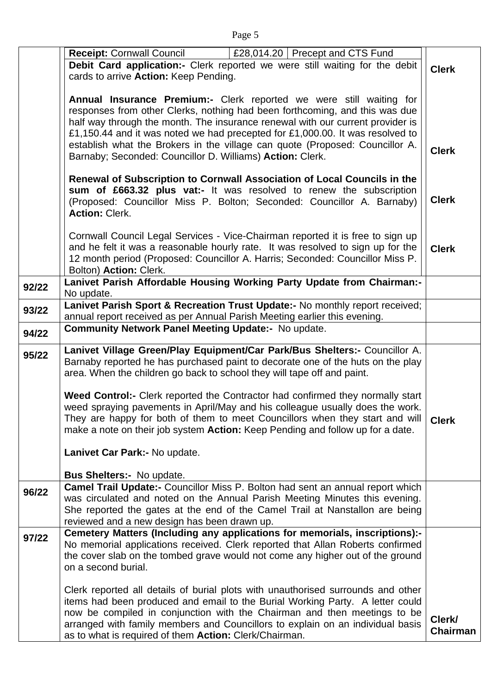|       | £28,014.20   Precept and CTS Fund<br><b>Receipt: Cornwall Council</b>                                                                                                                                                                                                                                                                                                                                                                                                                                                                          |                    |  |
|-------|------------------------------------------------------------------------------------------------------------------------------------------------------------------------------------------------------------------------------------------------------------------------------------------------------------------------------------------------------------------------------------------------------------------------------------------------------------------------------------------------------------------------------------------------|--------------------|--|
|       | Debit Card application:- Clerk reported we were still waiting for the debit                                                                                                                                                                                                                                                                                                                                                                                                                                                                    | <b>Clerk</b>       |  |
|       | cards to arrive Action: Keep Pending.                                                                                                                                                                                                                                                                                                                                                                                                                                                                                                          |                    |  |
|       | Annual Insurance Premium:- Clerk reported we were still waiting for<br>responses from other Clerks, nothing had been forthcoming, and this was due<br>half way through the month. The insurance renewal with our current provider is<br>£1,150.44 and it was noted we had precepted for £1,000.00. It was resolved to<br>establish what the Brokers in the village can quote (Proposed: Councillor A.<br>Barnaby; Seconded: Councillor D. Williams) Action: Clerk.<br>Renewal of Subscription to Cornwall Association of Local Councils in the | <b>Clerk</b>       |  |
|       | sum of £663.32 plus vat:- It was resolved to renew the subscription<br>(Proposed: Councillor Miss P. Bolton; Seconded: Councillor A. Barnaby)<br><b>Action: Clerk.</b>                                                                                                                                                                                                                                                                                                                                                                         | <b>Clerk</b>       |  |
|       | Cornwall Council Legal Services - Vice-Chairman reported it is free to sign up<br>and he felt it was a reasonable hourly rate. It was resolved to sign up for the<br>12 month period (Proposed: Councillor A. Harris; Seconded: Councillor Miss P.<br>Bolton) Action: Clerk.                                                                                                                                                                                                                                                                   | <b>Clerk</b>       |  |
| 92/22 | Lanivet Parish Affordable Housing Working Party Update from Chairman:-<br>No update.                                                                                                                                                                                                                                                                                                                                                                                                                                                           |                    |  |
| 93/22 | Lanivet Parish Sport & Recreation Trust Update:- No monthly report received;<br>annual report received as per Annual Parish Meeting earlier this evening.                                                                                                                                                                                                                                                                                                                                                                                      |                    |  |
| 94/22 | <b>Community Network Panel Meeting Update:- No update.</b>                                                                                                                                                                                                                                                                                                                                                                                                                                                                                     |                    |  |
| 95/22 | Lanivet Village Green/Play Equipment/Car Park/Bus Shelters:- Councillor A.<br>Barnaby reported he has purchased paint to decorate one of the huts on the play<br>area. When the children go back to school they will tape off and paint.                                                                                                                                                                                                                                                                                                       |                    |  |
|       | Weed Control:- Clerk reported the Contractor had confirmed they normally start<br>weed spraying pavements in April/May and his colleague usually does the work.<br>They are happy for both of them to meet Councillors when they start and will<br>make a note on their job system Action: Keep Pending and follow up for a date.<br>Lanivet Car Park:- No update.                                                                                                                                                                             | <b>Clerk</b>       |  |
|       | <b>Bus Shelters:- No update.</b>                                                                                                                                                                                                                                                                                                                                                                                                                                                                                                               |                    |  |
| 96/22 | Camel Trail Update:- Councillor Miss P. Bolton had sent an annual report which<br>was circulated and noted on the Annual Parish Meeting Minutes this evening.<br>She reported the gates at the end of the Camel Trail at Nanstallon are being<br>reviewed and a new design has been drawn up.                                                                                                                                                                                                                                                  |                    |  |
| 97/22 | Cemetery Matters (Including any applications for memorials, inscriptions):-<br>No memorial applications received. Clerk reported that Allan Roberts confirmed<br>the cover slab on the tombed grave would not come any higher out of the ground<br>on a second burial.                                                                                                                                                                                                                                                                         |                    |  |
|       | Clerk reported all details of burial plots with unauthorised surrounds and other<br>items had been produced and email to the Burial Working Party. A letter could<br>now be compiled in conjunction with the Chairman and then meetings to be<br>arranged with family members and Councillors to explain on an individual basis<br>as to what is required of them Action: Clerk/Chairman.                                                                                                                                                      | Clerk/<br>Chairman |  |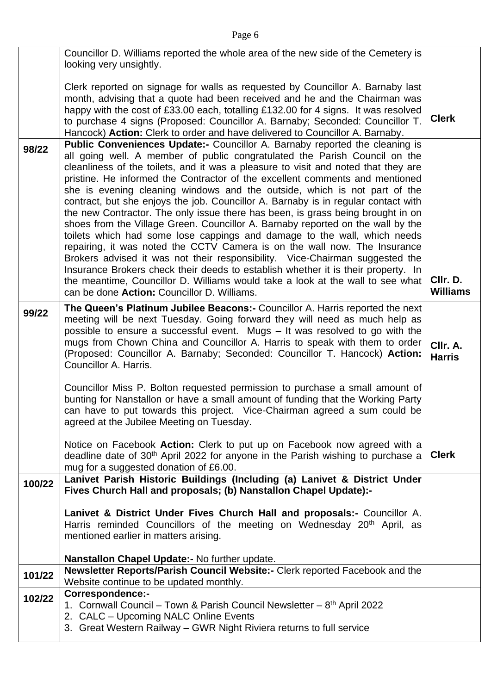|        | Councillor D. Williams reported the whole area of the new side of the Cemetery is                                                                                       |                 |  |
|--------|-------------------------------------------------------------------------------------------------------------------------------------------------------------------------|-----------------|--|
|        | looking very unsightly.                                                                                                                                                 |                 |  |
|        | Clerk reported on signage for walls as requested by Councillor A. Barnaby last<br>month, advising that a quote had been received and he and the Chairman was            |                 |  |
|        | happy with the cost of £33.00 each, totalling £132.00 for 4 signs. It was resolved                                                                                      |                 |  |
|        | to purchase 4 signs (Proposed: Councillor A. Barnaby; Seconded: Councillor T.                                                                                           | <b>Clerk</b>    |  |
| 98/22  | Hancock) Action: Clerk to order and have delivered to Councillor A. Barnaby.<br>Public Conveniences Update:- Councillor A. Barnaby reported the cleaning is             |                 |  |
|        | all going well. A member of public congratulated the Parish Council on the                                                                                              |                 |  |
|        | cleanliness of the toilets, and it was a pleasure to visit and noted that they are<br>pristine. He informed the Contractor of the excellent comments and mentioned      |                 |  |
|        | she is evening cleaning windows and the outside, which is not part of the                                                                                               |                 |  |
|        | contract, but she enjoys the job. Councillor A. Barnaby is in regular contact with<br>the new Contractor. The only issue there has been, is grass being brought in on   |                 |  |
|        | shoes from the Village Green. Councillor A. Barnaby reported on the wall by the                                                                                         |                 |  |
|        | toilets which had some lose cappings and damage to the wall, which needs<br>repairing, it was noted the CCTV Camera is on the wall now. The Insurance                   |                 |  |
|        | Brokers advised it was not their responsibility. Vice-Chairman suggested the                                                                                            |                 |  |
|        | Insurance Brokers check their deeds to establish whether it is their property. In<br>the meantime, Councillor D. Williams would take a look at the wall to see what     | CIIr. D.        |  |
|        | can be done Action: Councillor D. Williams.                                                                                                                             | <b>Williams</b> |  |
| 99/22  | The Queen's Platinum Jubilee Beacons: - Councillor A. Harris reported the next<br>meeting will be next Tuesday. Going forward they will need as much help as            |                 |  |
|        | possible to ensure a successful event. Mugs - It was resolved to go with the                                                                                            |                 |  |
|        | mugs from Chown China and Councillor A. Harris to speak with them to order<br>(Proposed: Councillor A. Barnaby; Seconded: Councillor T. Hancock) Action:                | CIIr. A.        |  |
|        | Councillor A. Harris.                                                                                                                                                   | <b>Harris</b>   |  |
|        | Councillor Miss P. Bolton requested permission to purchase a small amount of                                                                                            |                 |  |
|        | bunting for Nanstallon or have a small amount of funding that the Working Party                                                                                         |                 |  |
|        | can have to put towards this project. Vice-Chairman agreed a sum could be<br>agreed at the Jubilee Meeting on Tuesday.                                                  |                 |  |
|        |                                                                                                                                                                         |                 |  |
|        | Notice on Facebook Action: Clerk to put up on Facebook now agreed with a<br>deadline date of 30 <sup>th</sup> April 2022 for anyone in the Parish wishing to purchase a | <b>Clerk</b>    |  |
|        | mug for a suggested donation of £6.00.                                                                                                                                  |                 |  |
| 100/22 | Lanivet Parish Historic Buildings (Including (a) Lanivet & District Under<br>Fives Church Hall and proposals; (b) Nanstallon Chapel Update):-                           |                 |  |
|        |                                                                                                                                                                         |                 |  |
|        | Lanivet & District Under Fives Church Hall and proposals:- Councillor A.<br>Harris reminded Councillors of the meeting on Wednesday 20 <sup>th</sup> April, as          |                 |  |
|        | mentioned earlier in matters arising.                                                                                                                                   |                 |  |
|        | Nanstallon Chapel Update:- No further update.                                                                                                                           |                 |  |
| 101/22 | Newsletter Reports/Parish Council Website:- Clerk reported Facebook and the<br>Website continue to be updated monthly.                                                  |                 |  |
| 102/22 | Correspondence:-                                                                                                                                                        |                 |  |
|        | 1. Cornwall Council – Town & Parish Council Newsletter – 8 <sup>th</sup> April 2022<br>2. CALC - Upcoming NALC Online Events                                            |                 |  |
|        | 3. Great Western Railway - GWR Night Riviera returns to full service                                                                                                    |                 |  |